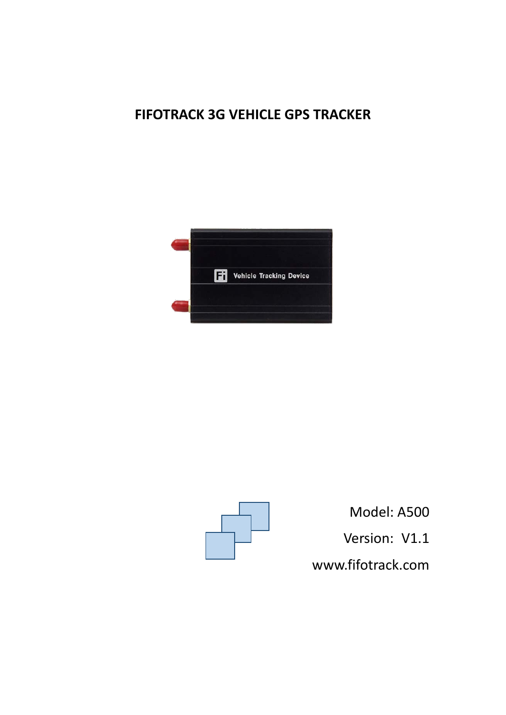# **FIFOTRACK 3G VEHICLE GPS TRACKER**





Model: A500 Version: V1.1 [www.fifotrack.com](http://www.fifotrack.com/)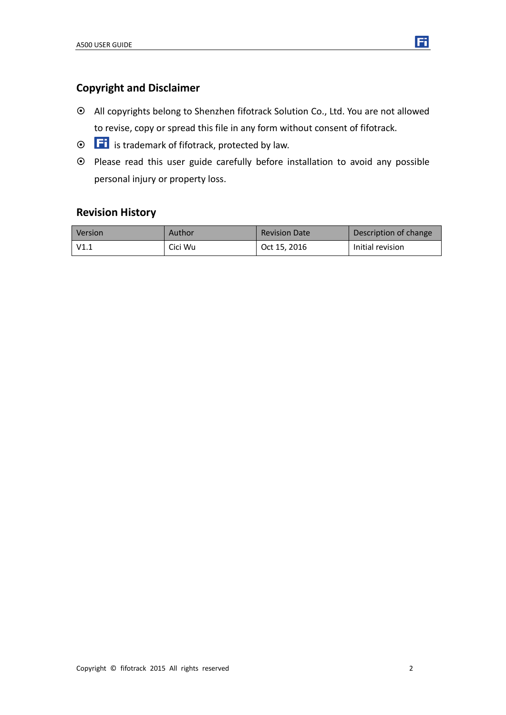

- All copyrights belong to Shenzhen fifotrack Solution Co., Ltd. You are not allowed to revise, copy or spread this file in any form without consent of fifotrack.
- $\odot$   $\Box$  is trademark of fifotrack, protected by law.
- Please read this user guide carefully before installation to avoid any possible personal injury or property loss.

### **Revision History**

| <b>Version</b> | Author  | <b>Revision Date</b> | Description of change |
|----------------|---------|----------------------|-----------------------|
| V1.1           | Cici Wu | Oct 15, 2016         | Initial revision      |

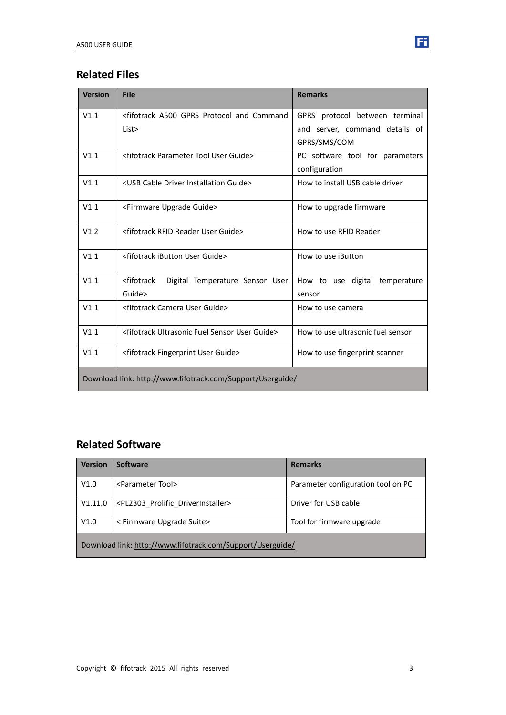# **Related Files**

| <b>Version</b> | <b>File</b>                                                                                                         | <b>Remarks</b>                    |
|----------------|---------------------------------------------------------------------------------------------------------------------|-----------------------------------|
| V1.1           | <fifotrack a500="" and="" command<="" gprs="" protocol="" td=""><td>GPRS protocol between terminal</td></fifotrack> | GPRS protocol between terminal    |
|                | List>                                                                                                               | and server, command details of    |
|                |                                                                                                                     | GPRS/SMS/COM                      |
| V1.1           | <fifotrack guide="" parameter="" tool="" user=""></fifotrack>                                                       | PC software tool for parameters   |
|                |                                                                                                                     | configuration                     |
| V1.1           | <usb cable="" driver="" guide="" installation=""></usb>                                                             | How to install USB cable driver   |
| V1.1           | <firmware guide="" upgrade=""></firmware>                                                                           | How to upgrade firmware           |
| V1.2           | <fifotrack guide="" reader="" rfid="" user=""></fifotrack>                                                          | How to use RFID Reader            |
| V1.1           | <fifotrack guide="" ibutton="" user=""></fifotrack>                                                                 | How to use iButton                |
| V1.1           | <fifotrack<br>Digital Temperature Sensor User</fifotrack<br>                                                        | How to use digital temperature    |
|                | Guide>                                                                                                              | sensor                            |
| V1.1           | <fifotrack camera="" guide="" user=""></fifotrack>                                                                  | How to use camera                 |
| V1.1           | <fifotrack fuel="" guide="" sensor="" ultrasonic="" user=""></fifotrack>                                            | How to use ultrasonic fuel sensor |
| V1.1           | <fifotrack fingerprint="" guide="" user=""></fifotrack>                                                             | How to use fingerprint scanner    |
|                | Download link: http://www.fifotrack.com/Support/Userguide/                                                          |                                   |

# **Related Software**

| Version                                                    | <b>Software</b>                                  | <b>Remarks</b>                     |  |  |
|------------------------------------------------------------|--------------------------------------------------|------------------------------------|--|--|
| V1.0                                                       | <parameter tool=""></parameter>                  | Parameter configuration tool on PC |  |  |
| V1.11.0                                                    | <pl2303 driverinstaller="" prolific=""></pl2303> | Driver for USB cable               |  |  |
| V1.0                                                       | < Firmware Upgrade Suite>                        | Tool for firmware upgrade          |  |  |
| Download link: http://www.fifotrack.com/Support/Userguide/ |                                                  |                                    |  |  |

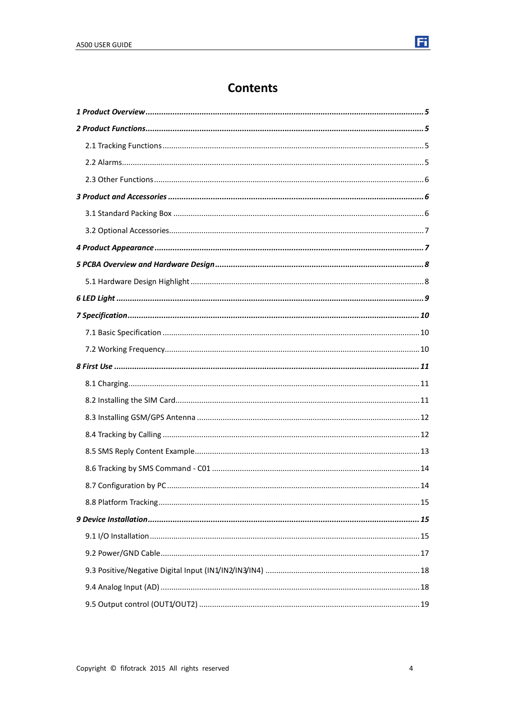# **Contents**

| . 14 |
|------|
|      |
|      |
|      |
|      |
|      |
|      |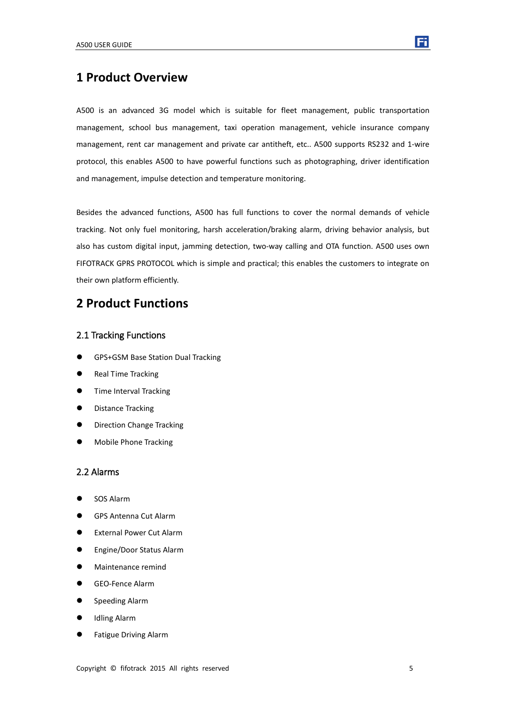

### <span id="page-4-0"></span>**1 Product Overview**

A500 is an advanced 3G model which is suitable for fleet management, public transportation management, school bus management, taxi operation management, vehicle insurance company management, rent car management and private car antitheft, etc.. A500 supports RS232 and 1-wire protocol, this enables A500 to have powerful functions such as photographing, driver identification and management, impulse detection and temperature monitoring.

Besides the advanced functions, A500 has full functions to cover the normal demands of vehicle tracking. Not only fuel monitoring, harsh acceleration/braking alarm, driving behavior analysis, but also has custom digital input, jamming detection, two-way calling and OTA function. A500 uses own FIFOTRACK GPRS PROTOCOL which is simple and practical; this enables the customers to integrate on their own platform efficiently.

### <span id="page-4-1"></span>**2 Product Functions**

#### <span id="page-4-2"></span>2.1 Tracking Functions

- GPS+GSM Base Station Dual Tracking
- Real Time Tracking
- **•** Time Interval Tracking
- **•** Distance Tracking
- **•** Direction Change Tracking
- <span id="page-4-3"></span>Mobile Phone Tracking

### 2.2 Alarms

- SOS Alarm
- GPS Antenna Cut Alarm
- External Power Cut Alarm
- Engine/Door Status Alarm
- **•** Maintenance remind
- GEO-Fence Alarm
- **•** Speeding Alarm
- Idling Alarm
- Fatigue Driving Alarm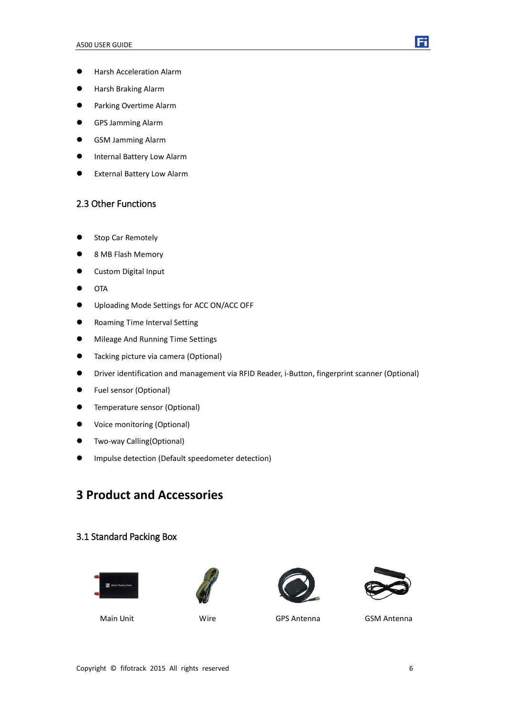

- **+ Harsh Acceleration Alarm**
- Harsh Braking Alarm
- **•** Parking Overtime Alarm
- GPS Jamming Alarm
- GSM Jamming Alarm
- **•** Internal Battery Low Alarm
- <span id="page-5-0"></span>External Battery Low Alarm

### 2.3 Other Functions

- Stop Car Remotely
- 8 MB Flash Memory
- **•** Custom Digital Input
- $\bullet$  OTA
- Uploading Mode Settings for ACC ON/ACC OFF
- Roaming Time Interval Setting
- $\bullet$  Mileage And Running Time Settings
- **•** Tacking picture via camera (Optional)
- Driver identification and management via RFID Reader, i-Button, fingerprint scanner (Optional)
- Fuel sensor (Optional)
- **•** Temperature sensor (Optional)
- Voice monitoring (Optional)
- **•** Two-way Calling(Optional)
- <span id="page-5-1"></span>Impulse detection (Default speedometer detection)

# **3 Product and Accessories**

#### <span id="page-5-2"></span>3.1 Standard Packing Box









Main Unit Wire GPS Antenna GSM Antenna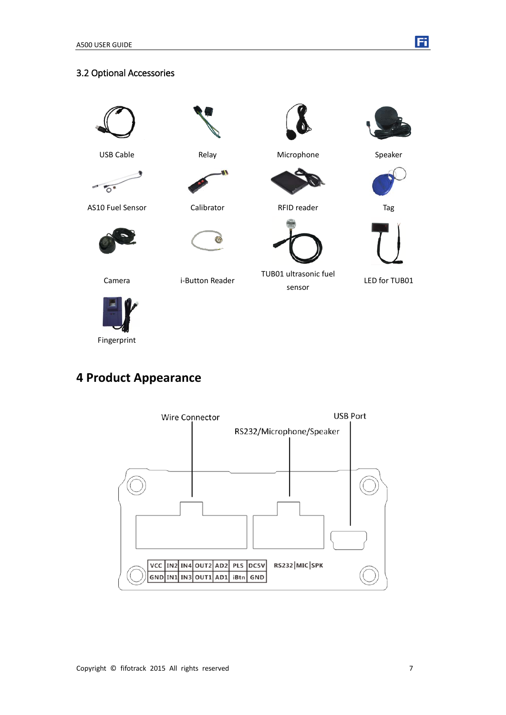### <span id="page-6-0"></span>3.2 Optional Accessories



USB Cable **Relay** Relay Microphone Speaker

 $\overline{O}$ 





Fi





Camera i-Button Reader

TUB01 ultrasonic fuel sensor



Fingerprint

# <span id="page-6-1"></span>**4 Product Appearance**

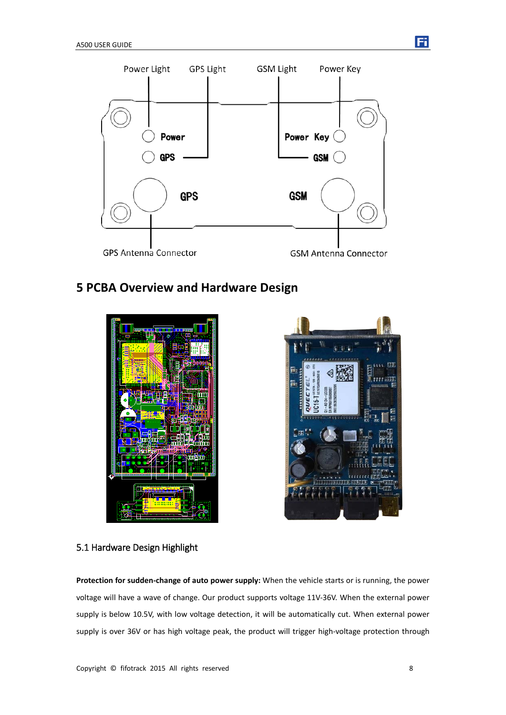

# <span id="page-7-0"></span>**5 PCBA Overview and Hardware Design**





### <span id="page-7-1"></span>5.1 Hardware Design Highlight

**Protection for sudden-change of auto power supply:** When the vehicle starts or is running, the power voltage will have a wave of change. Our product supports voltage 11V-36V. When the external power supply is below 10.5V, with low voltage detection, it will be automatically cut. When external power supply is over 36V or has high voltage peak, the product will trigger high-voltage protection through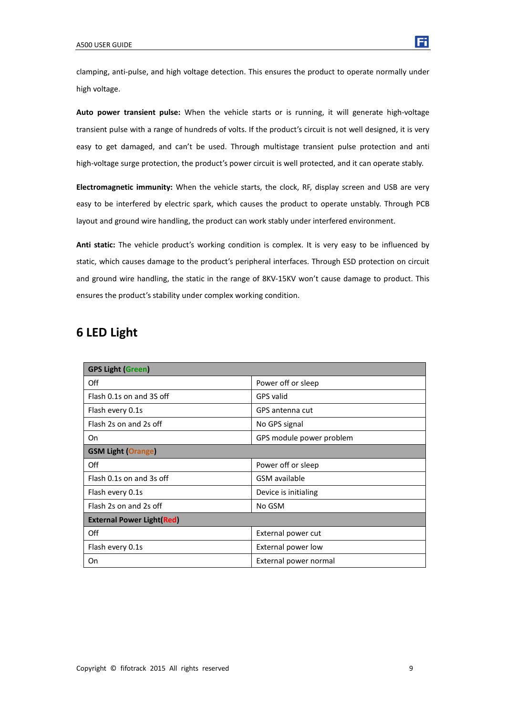clamping, anti-pulse, and high voltage detection. This ensures the product to operate normally under high voltage.

**Auto power transient pulse:** When the vehicle starts or is running, it will generate high-voltage transient pulse with a range of hundreds of volts. If the product's circuit is not well designed, it is very easy to get damaged, and can't be used. Through multistage transient pulse protection and anti high-voltage surge protection, the product's power circuit is well protected, and it can operate stably.

**Electromagnetic immunity:** When the vehicle starts, the clock, RF, display screen and USB are very easy to be interfered by electric spark, which causes the product to operate unstably. Through PCB layout and ground wire handling, the product can work stably under interfered environment.

**Anti static:** The vehicle product's working condition is complex. It is very easy to be influenced by static, which causes damage to the product's peripheral interfaces. Through ESD protection on circuit and ground wire handling, the static in the range of 8KV-15KV won't cause damage to product. This ensures the product's stability under complex working condition.

## <span id="page-8-0"></span>**6 LED Light**

| <b>GPS Light (Green)</b>         |                          |
|----------------------------------|--------------------------|
| Off                              | Power off or sleep       |
| Flash 0.1s on and 3S off         | GPS valid                |
| Flash every 0.1s                 | GPS antenna cut          |
| Flash 2s on and 2s off           | No GPS signal            |
| On                               | GPS module power problem |
| <b>GSM Light (Orange)</b>        |                          |
| Off                              | Power off or sleep       |
| Flash 0.1s on and 3s off         | GSM available            |
| Flash every 0.1s                 | Device is initialing     |
| Flash 2s on and 2s off           | No GSM                   |
| <b>External Power Light(Red)</b> |                          |
| Off                              | External power cut       |
| Flash every 0.1s                 | External power low       |
| On                               | External power normal    |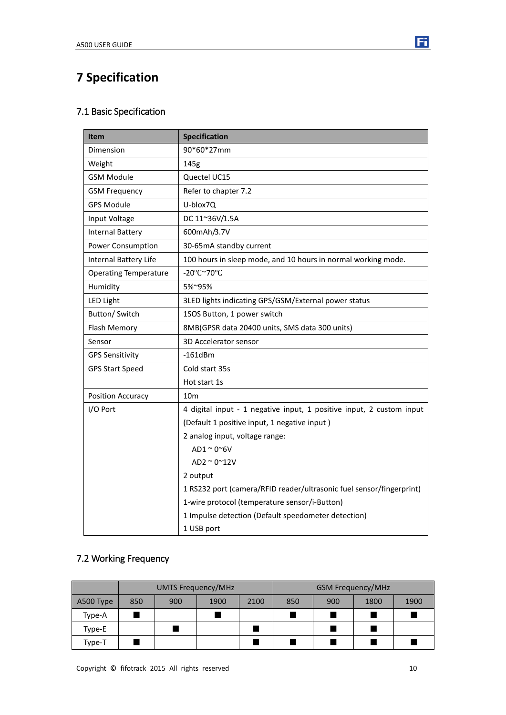# <span id="page-9-0"></span>**7 Specification**

### <span id="page-9-1"></span>7.1 Basic Specification

| <b>Item</b>                  | <b>Specification</b>                                                 |
|------------------------------|----------------------------------------------------------------------|
| Dimension                    | 90*60*27mm                                                           |
| Weight                       | 145g                                                                 |
| <b>GSM Module</b>            | Quectel UC15                                                         |
| <b>GSM Frequency</b>         | Refer to chapter 7.2                                                 |
| <b>GPS Module</b>            | U-blox7Q                                                             |
| Input Voltage                | DC 11~36V/1.5A                                                       |
| <b>Internal Battery</b>      | 600mAh/3.7V                                                          |
| Power Consumption            | 30-65mA standby current                                              |
| <b>Internal Battery Life</b> | 100 hours in sleep mode, and 10 hours in normal working mode.        |
| <b>Operating Temperature</b> | -20°C~70°C                                                           |
| Humidity                     | 5%~95%                                                               |
| <b>LED Light</b>             | 3LED lights indicating GPS/GSM/External power status                 |
| Button/ Switch               | 1SOS Button, 1 power switch                                          |
| Flash Memory                 | 8MB(GPSR data 20400 units, SMS data 300 units)                       |
| Sensor                       | 3D Accelerator sensor                                                |
| <b>GPS Sensitivity</b>       | $-161dBm$                                                            |
| <b>GPS Start Speed</b>       | Cold start 35s                                                       |
|                              | Hot start 1s                                                         |
| Position Accuracy            | 10 <sub>m</sub>                                                      |
| I/O Port                     | 4 digital input - 1 negative input, 1 positive input, 2 custom input |
|                              | (Default 1 positive input, 1 negative input)                         |
|                              | 2 analog input, voltage range:                                       |
|                              | $AD1 \approx 0 \approx 6$ V                                          |
|                              | AD2 $\approx$ 0 $\approx$ 12V                                        |
|                              | 2 output                                                             |
|                              | 1 RS232 port (camera/RFID reader/ultrasonic fuel sensor/fingerprint) |
|                              | 1-wire protocol (temperature sensor/i-Button)                        |
|                              | 1 Impulse detection (Default speedometer detection)                  |
|                              | 1 USB port                                                           |

# <span id="page-9-2"></span>7.2 Working Frequency

|           | <b>UMTS Frequency/MHz</b> |     |      | <b>GSM Frequency/MHz</b> |     |     |      |      |
|-----------|---------------------------|-----|------|--------------------------|-----|-----|------|------|
| A500 Type | 850                       | 900 | 1900 | 2100                     | 850 | 900 | 1800 | 1900 |
| Type-A    |                           |     |      |                          |     |     |      |      |
| Type-E    |                           |     |      |                          |     |     |      |      |
| Type-T    |                           |     |      |                          |     |     |      |      |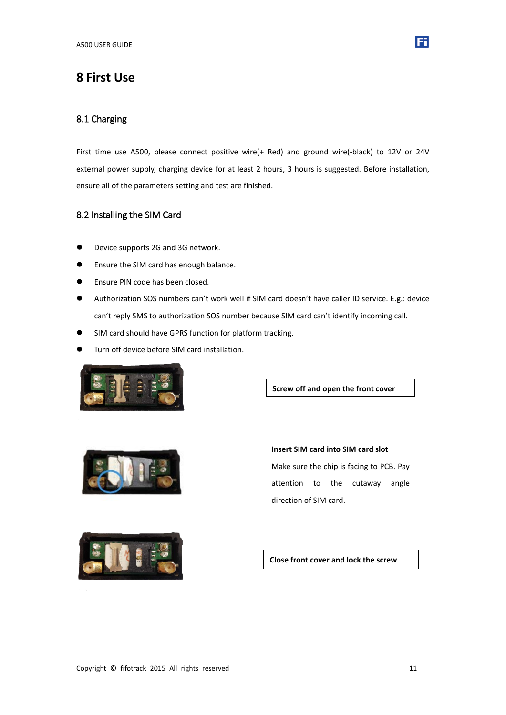### <span id="page-10-0"></span>**8 First Use**

#### <span id="page-10-1"></span>8.1 Charging

First time use A500, please connect positive wire(+ Red) and ground wire(-black) to 12V or 24V external power supply, charging device for at least 2 hours, 3 hours is suggested. Before installation, ensure all of the parameters setting and test are finished.

#### <span id="page-10-2"></span>8.2 Installing the SIM Card

- **•** Device supports 2G and 3G network.
- **•** Ensure the SIM card has enough balance.
- **•** Ensure PIN code has been closed.
- Authorization SOS numbers can't work well if SIM card doesn't have caller ID service. E.g.: device can't reply SMS to authorization SOS number because SIM card can't identify incoming call.
- SIM card should have GPRS function for platform tracking.
- Turn off device before SIM card installation.



**Screw off and open the front cover**



**Insert SIM card into SIM card slot** Make sure the chip is facing to PCB. Pay attention to the cutaway angle direction of SIM card.



**Close front cover and lock the screw**

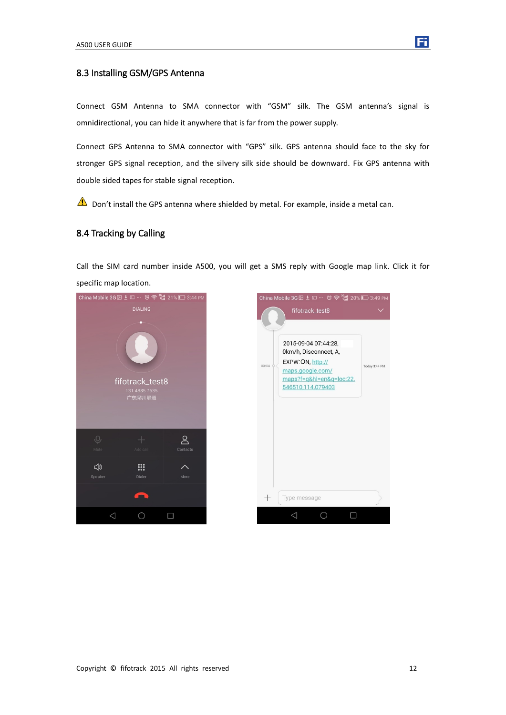<span id="page-11-0"></span>

Connect GSM Antenna to SMA connector with "GSM" silk. The GSM antenna's signal is omnidirectional, you can hide it anywhere that is far from the power supply.

Connect GPS Antenna to SMA connector with "GPS" silk. GPS antenna should face to the sky for stronger GPS signal reception, and the silvery silk side should be downward. Fix GPS antenna with double sided tapes for stable signal reception.

<span id="page-11-1"></span> $\triangle$  Don't install the GPS antenna where shielded by metal. For example, inside a metal can.

#### 8.4 Tracking by Calling

Call the SIM card number inside A500, you will get a SMS reply with Google map link. Click it for specific map location.



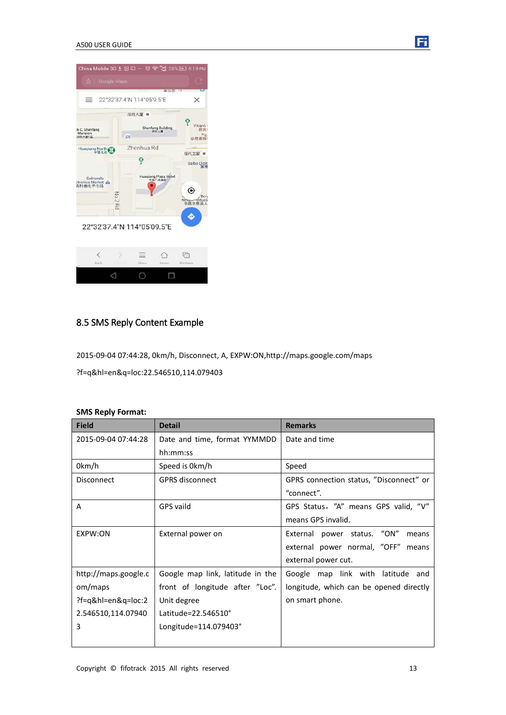#### A500 USER GUIDE



### <span id="page-12-0"></span>8.5 SMS Reply Content Example

2015-09-04 07:44:28, 0km/h, Disconnect, A, EXPW:ON,http://maps.google.com/maps

?f=q&hl=en&q=loc:22.546510,114.079403

#### **SMS Reply Format:**

| <b>Field</b>         | <b>Detail</b>                    | <b>Remarks</b>                          |  |  |
|----------------------|----------------------------------|-----------------------------------------|--|--|
| 2015-09-04 07:44:28  | Date and time, format YYMMDD     | Date and time                           |  |  |
|                      | hh:mm:ss                         |                                         |  |  |
| 0km/h                | Speed is 0km/h                   | Speed                                   |  |  |
| Disconnect           | <b>GPRS</b> disconnect           | GPRS connection status, "Disconnect" or |  |  |
|                      |                                  | "connect".                              |  |  |
| A                    | GPS vaild                        | GPS Status, "A" means GPS valid, "V"    |  |  |
|                      |                                  | means GPS invalid.                      |  |  |
| EXPW:ON              | External power on                | External power status. "ON"<br>means    |  |  |
|                      |                                  | external power normal, "OFF"<br>means   |  |  |
|                      |                                  | external power cut.                     |  |  |
| http://maps.google.c | Google map link, latitude in the | Google map link with latitude and       |  |  |
| om/maps              | front of longitude after "Loc".  | longitude, which can be opened directly |  |  |
| ?f=q&hl=en&q=loc:2   | Unit degree                      | on smart phone.                         |  |  |
| 2.546510,114.07940   | Latitude=22.546510°              |                                         |  |  |
| 3                    | Longitude=114.079403°            |                                         |  |  |
|                      |                                  |                                         |  |  |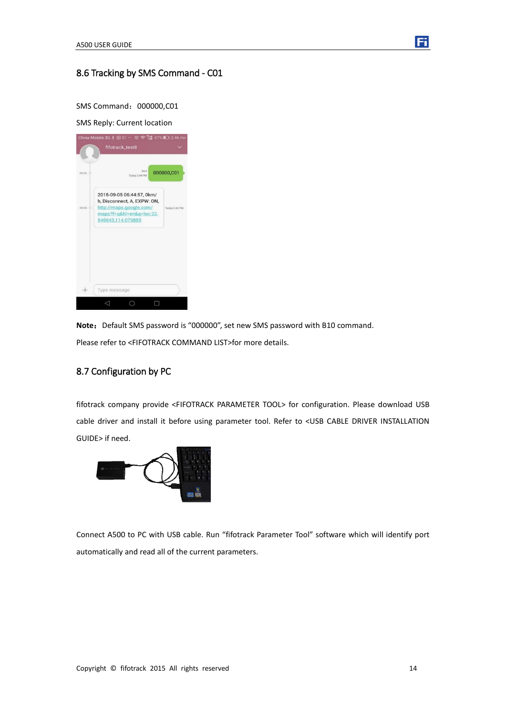

### <span id="page-13-0"></span>8.6 Tracking by SMS Command - C01

SMS Command: 000000,C01

SMS Reply: Current location



Note: Default SMS password is "000000", set new SMS password with B10 command. Please refer to <FIFOTRACK COMMAND LIST>for more details.

### <span id="page-13-1"></span>8.7 Configuration by PC

fifotrack company provide <FIFOTRACK PARAMETER TOOL> for configuration. Please download USB cable driver and install it before using parameter tool. Refer to <USB CABLE DRIVER INSTALLATION GUIDE> if need.



Connect A500 to PC with USB cable. Run "fifotrack Parameter Tool" software which will identify port automatically and read all of the current parameters.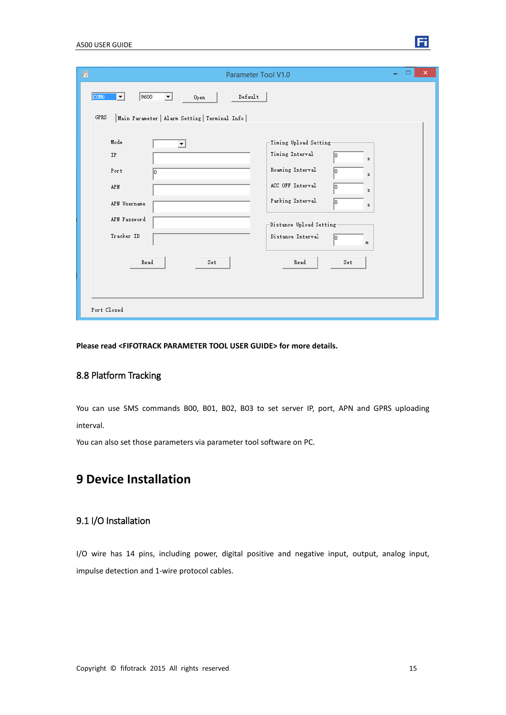| Ð<br>Parameter Tool V1.0                                                                                                                                                                                                                                                                                                           | ×<br>▭ |
|------------------------------------------------------------------------------------------------------------------------------------------------------------------------------------------------------------------------------------------------------------------------------------------------------------------------------------|--------|
| 9600<br>Default<br>COM6<br>Open<br>▾╎<br>▼<br>${\tt GPRS}$<br>Main Parameter   Alarm Setting   Terminal Info                                                                                                                                                                                                                       |        |
| Mode<br>Timing Upload Setting<br>▼<br>Timing Interval<br>IP<br>s.<br>Roaming Interval<br>Port<br>lo.<br>In<br>z.<br>ACC OFF Interval<br>APN<br>lo.<br>z.<br>Parking Interval<br>lо<br>APN Username<br>z.<br>APN Password<br>-Distance Upload Setting-<br>Tracker ID<br>Distance Interval<br>lo.<br>m<br>Read<br>Read<br>Set<br>Set |        |
| Port Closed                                                                                                                                                                                                                                                                                                                        |        |

<span id="page-14-0"></span>**Please read <FIFOTRACK PARAMETER TOOL USER GUIDE> for more details.** 

#### 8.8 Platform Tracking

You can use SMS commands B00, B01, B02, B03 to set server IP, port, APN and GPRS uploading interval.

<span id="page-14-1"></span>You can also set those parameters via parameter tool software on PC.

### **9 Device Installation**

### <span id="page-14-2"></span>9.1 I/O Installation

I/O wire has 14 pins, including power, digital positive and negative input, output, analog input, impulse detection and 1-wire protocol cables.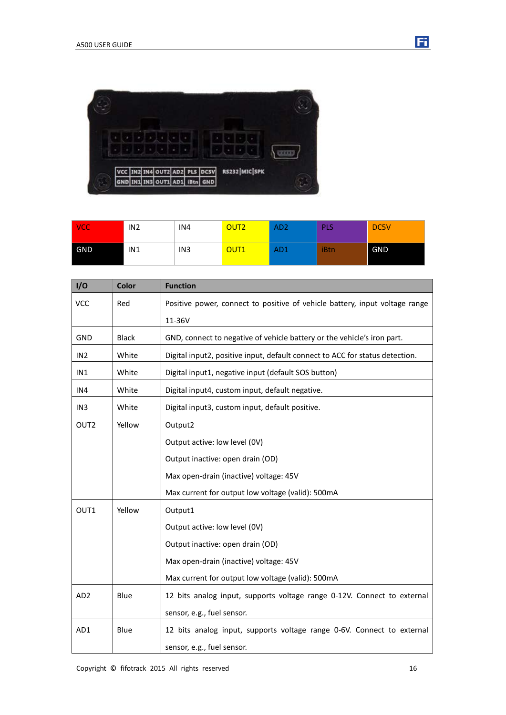

| <b>VCC</b> | IN <sub>2</sub> | IN4             | OUT2             | AD <sub>2</sub> | PLS  | DC5V       |
|------------|-----------------|-----------------|------------------|-----------------|------|------------|
| GND        | IN1             | IN <sub>3</sub> | OUT <sub>1</sub> | AD <sub>1</sub> | iBtn | <b>GND</b> |

| I/O              | Color        | <b>Function</b>                                                              |  |
|------------------|--------------|------------------------------------------------------------------------------|--|
| <b>VCC</b>       | Red          | Positive power, connect to positive of vehicle battery, input voltage range  |  |
|                  |              | 11-36V                                                                       |  |
| <b>GND</b>       | <b>Black</b> | GND, connect to negative of vehicle battery or the vehicle's iron part.      |  |
| IN <sub>2</sub>  | White        | Digital input2, positive input, default connect to ACC for status detection. |  |
| IN1              | White        | Digital input1, negative input (default SOS button)                          |  |
| IN4              | White        | Digital input4, custom input, default negative.                              |  |
| IN <sub>3</sub>  | White        | Digital input3, custom input, default positive.                              |  |
| OUT <sub>2</sub> | Yellow       | Output2                                                                      |  |
|                  |              | Output active: low level (0V)                                                |  |
|                  |              | Output inactive: open drain (OD)                                             |  |
|                  |              | Max open-drain (inactive) voltage: 45V                                       |  |
|                  |              | Max current for output low voltage (valid): 500mA                            |  |
| OUT1             | Yellow       | Output1                                                                      |  |
|                  |              | Output active: low level (0V)                                                |  |
|                  |              | Output inactive: open drain (OD)                                             |  |
|                  |              | Max open-drain (inactive) voltage: 45V                                       |  |
|                  |              | Max current for output low voltage (valid): 500mA                            |  |
| AD <sub>2</sub>  | Blue         | 12 bits analog input, supports voltage range 0-12V. Connect to external      |  |
|                  |              | sensor, e.g., fuel sensor.                                                   |  |
| AD1              | Blue         | 12 bits analog input, supports voltage range 0-6V. Connect to external       |  |
|                  |              | sensor, e.g., fuel sensor.                                                   |  |

固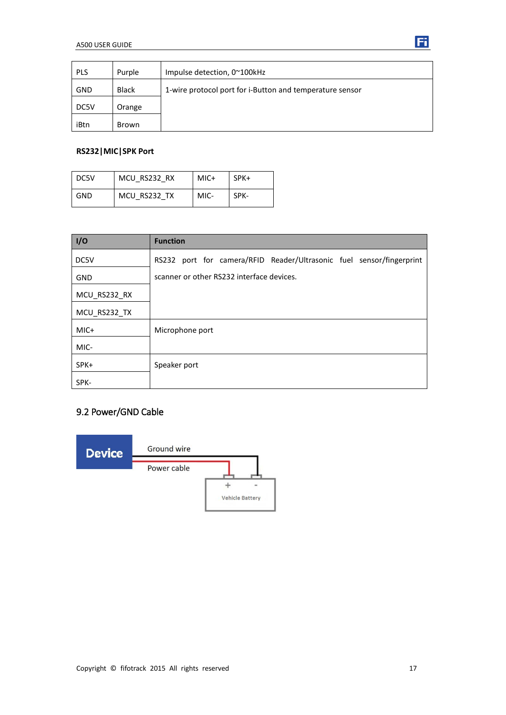| <b>PLS</b> | Purple       | Impulse detection, 0~100kHz                              |
|------------|--------------|----------------------------------------------------------|
| GND        | <b>Black</b> | 1-wire protocol port for i-Button and temperature sensor |
| DC5V       | Orange       |                                                          |
| iBtn       | Brown        |                                                          |

#### **RS232|MIC|SPK Port**

| DC5V       | MCU RS232 RX | MIC+ | SPK+ |
|------------|--------------|------|------|
| <b>GND</b> | MCU RS232 TX | MIC- | SPK- |

| I/O          | <b>Function</b>                                                      |  |  |
|--------------|----------------------------------------------------------------------|--|--|
| DC5V         | RS232 port for camera/RFID Reader/Ultrasonic fuel sensor/fingerprint |  |  |
| <b>GND</b>   | scanner or other RS232 interface devices.                            |  |  |
| MCU_RS232_RX |                                                                      |  |  |
| MCU_RS232_TX |                                                                      |  |  |
| MIC+         | Microphone port                                                      |  |  |
| MIC-         |                                                                      |  |  |
| SPK+         | Speaker port                                                         |  |  |
| SPK-         |                                                                      |  |  |

### <span id="page-16-0"></span>9.2 Power/GND Cable



**Ei**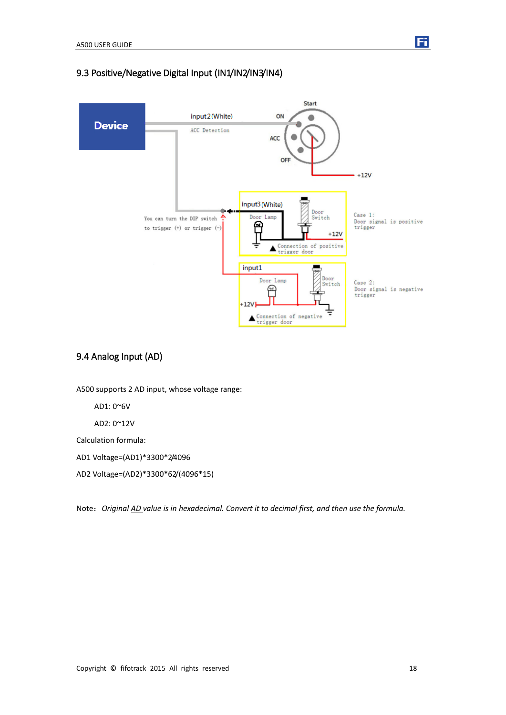### <span id="page-17-0"></span>9.3 Positive/Negative Digital Input (IN1/IN2/IN3/IN4)



### <span id="page-17-1"></span>9.4 Analog Input (AD)

A500 supports 2 AD input, whose voltage range:

AD1: 0~6V

AD2: 0~12V

Calculation formula:

AD1 Voltage=(AD1)\*3300\*2/4096

AD2 Voltage=(AD2)\*3300\*62/(4096\*15)

Note:*Original AD value is in hexadecimal. Convert it to decimal first, and then use the formula.*